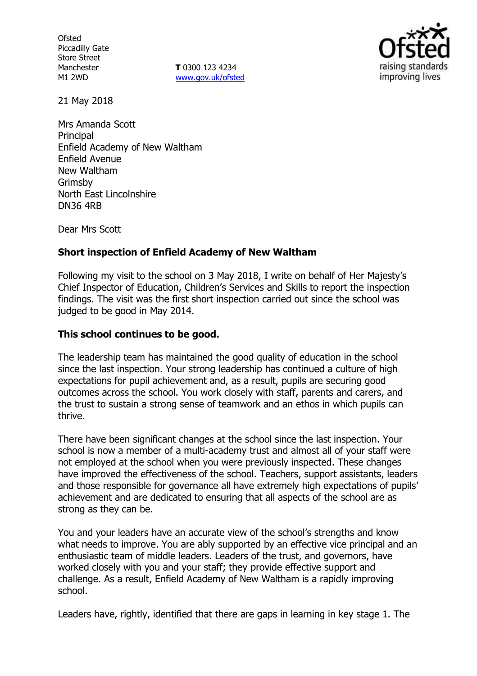**Ofsted** Piccadilly Gate Store Street Manchester M1 2WD

**T** 0300 123 4234 www.gov.uk/ofsted



21 May 2018

Mrs Amanda Scott **Principal** Enfield Academy of New Waltham Enfield Avenue New Waltham Grimsby North East Lincolnshire DN36 4RB

Dear Mrs Scott

### **Short inspection of Enfield Academy of New Waltham**

Following my visit to the school on 3 May 2018, I write on behalf of Her Majesty's Chief Inspector of Education, Children's Services and Skills to report the inspection findings. The visit was the first short inspection carried out since the school was judged to be good in May 2014.

#### **This school continues to be good.**

The leadership team has maintained the good quality of education in the school since the last inspection. Your strong leadership has continued a culture of high expectations for pupil achievement and, as a result, pupils are securing good outcomes across the school. You work closely with staff, parents and carers, and the trust to sustain a strong sense of teamwork and an ethos in which pupils can thrive.

There have been significant changes at the school since the last inspection. Your school is now a member of a multi-academy trust and almost all of your staff were not employed at the school when you were previously inspected. These changes have improved the effectiveness of the school. Teachers, support assistants, leaders and those responsible for governance all have extremely high expectations of pupils' achievement and are dedicated to ensuring that all aspects of the school are as strong as they can be.

You and your leaders have an accurate view of the school's strengths and know what needs to improve. You are ably supported by an effective vice principal and an enthusiastic team of middle leaders. Leaders of the trust, and governors, have worked closely with you and your staff; they provide effective support and challenge. As a result, Enfield Academy of New Waltham is a rapidly improving school.

Leaders have, rightly, identified that there are gaps in learning in key stage 1. The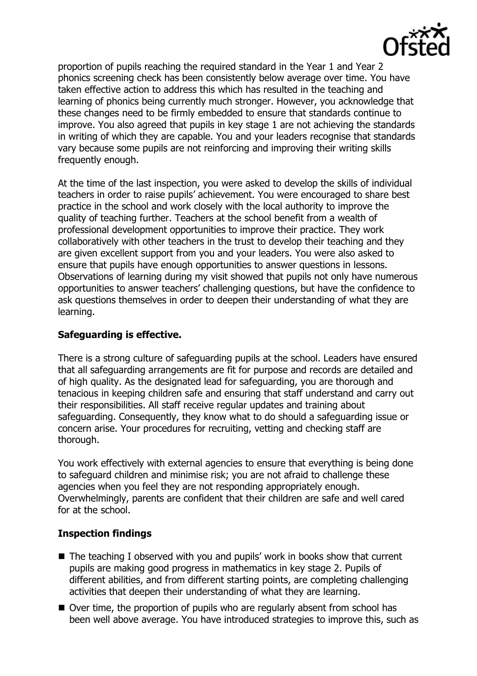

proportion of pupils reaching the required standard in the Year 1 and Year 2 phonics screening check has been consistently below average over time. You have taken effective action to address this which has resulted in the teaching and learning of phonics being currently much stronger. However, you acknowledge that these changes need to be firmly embedded to ensure that standards continue to improve. You also agreed that pupils in key stage 1 are not achieving the standards in writing of which they are capable. You and your leaders recognise that standards vary because some pupils are not reinforcing and improving their writing skills frequently enough.

At the time of the last inspection, you were asked to develop the skills of individual teachers in order to raise pupils' achievement. You were encouraged to share best practice in the school and work closely with the local authority to improve the quality of teaching further. Teachers at the school benefit from a wealth of professional development opportunities to improve their practice. They work collaboratively with other teachers in the trust to develop their teaching and they are given excellent support from you and your leaders. You were also asked to ensure that pupils have enough opportunities to answer questions in lessons. Observations of learning during my visit showed that pupils not only have numerous opportunities to answer teachers' challenging questions, but have the confidence to ask questions themselves in order to deepen their understanding of what they are learning.

## **Safeguarding is effective.**

There is a strong culture of safeguarding pupils at the school. Leaders have ensured that all safeguarding arrangements are fit for purpose and records are detailed and of high quality. As the designated lead for safeguarding, you are thorough and tenacious in keeping children safe and ensuring that staff understand and carry out their responsibilities. All staff receive regular updates and training about safeguarding. Consequently, they know what to do should a safeguarding issue or concern arise. Your procedures for recruiting, vetting and checking staff are thorough.

You work effectively with external agencies to ensure that everything is being done to safeguard children and minimise risk; you are not afraid to challenge these agencies when you feel they are not responding appropriately enough. Overwhelmingly, parents are confident that their children are safe and well cared for at the school.

#### **Inspection findings**

- The teaching I observed with you and pupils' work in books show that current pupils are making good progress in mathematics in key stage 2. Pupils of different abilities, and from different starting points, are completing challenging activities that deepen their understanding of what they are learning.
- Over time, the proportion of pupils who are regularly absent from school has been well above average. You have introduced strategies to improve this, such as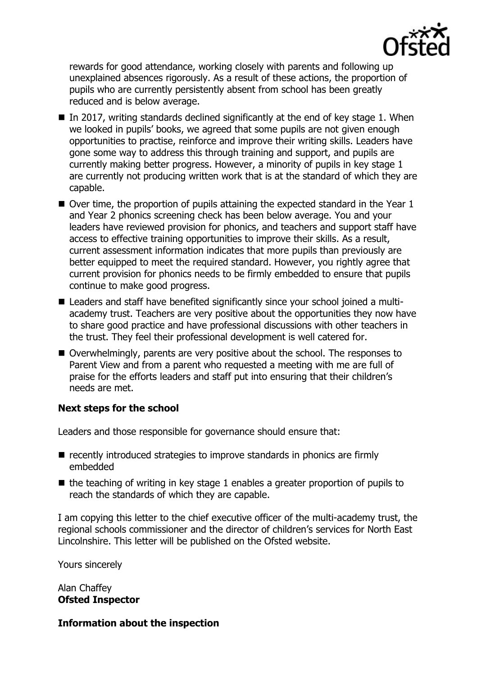

rewards for good attendance, working closely with parents and following up unexplained absences rigorously. As a result of these actions, the proportion of pupils who are currently persistently absent from school has been greatly reduced and is below average.

- In 2017, writing standards declined significantly at the end of key stage 1. When we looked in pupils' books, we agreed that some pupils are not given enough opportunities to practise, reinforce and improve their writing skills. Leaders have gone some way to address this through training and support, and pupils are currently making better progress. However, a minority of pupils in key stage 1 are currently not producing written work that is at the standard of which they are capable.
- $\blacksquare$  Over time, the proportion of pupils attaining the expected standard in the Year 1 and Year 2 phonics screening check has been below average. You and your leaders have reviewed provision for phonics, and teachers and support staff have access to effective training opportunities to improve their skills. As a result, current assessment information indicates that more pupils than previously are better equipped to meet the required standard. However, you rightly agree that current provision for phonics needs to be firmly embedded to ensure that pupils continue to make good progress.
- Leaders and staff have benefited significantly since your school joined a multiacademy trust. Teachers are very positive about the opportunities they now have to share good practice and have professional discussions with other teachers in the trust. They feel their professional development is well catered for.
- Overwhelmingly, parents are very positive about the school. The responses to Parent View and from a parent who requested a meeting with me are full of praise for the efforts leaders and staff put into ensuring that their children's needs are met.

# **Next steps for the school**

Leaders and those responsible for governance should ensure that:

- recently introduced strategies to improve standards in phonics are firmly embedded
- $\blacksquare$  the teaching of writing in key stage 1 enables a greater proportion of pupils to reach the standards of which they are capable.

I am copying this letter to the chief executive officer of the multi-academy trust, the regional schools commissioner and the director of children's services for North East Lincolnshire. This letter will be published on the Ofsted website.

Yours sincerely

Alan Chaffey **Ofsted Inspector**

#### **Information about the inspection**